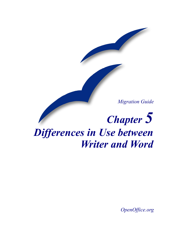*Migration Guide*

# *Chapter 5 Differences in Use between Writer and Word*

*OpenOffice.org*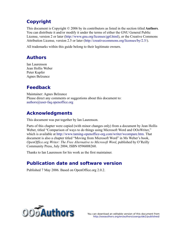### <span id="page-1-4"></span>**Copyright**

This document is Copyright © 2006 by its contributors as listed in the section titled **Authors**. You can distribute it and/or modify it under the terms of either the GNU General Public License, version 2 or later (<http://www.gnu.org/licenses/gpl.html>), or the Creative Commons Attribution License, version 2.5 or later ([http://creativecommons.org/licenses/by/2.5/\)](http://creativecommons.org/licenses/by/2.5/).

All trademarks within this guide belong to their legitimate owners.

#### <span id="page-1-3"></span>**Authors**

Ian Laurenson Jean Hollis Weber Peter Kupfer Agnes Belzunce

### <span id="page-1-2"></span>**Feedback**

Maintainer: Agnes Belzunce Please direct any comments or suggestions about this document to: [authors@user-faq.openoffice.org](mailto:authors@user-faq.openoffice.org)

### <span id="page-1-1"></span>**Acknowledgments**

This document was put together by Ian Laurenson.

Parts of this chapter were copied (with minor changes only) from a document by Jean Hollis Weber, titled "Comparison of ways to do things using Microsoft Word and OOoWriter," which is available at <http://www.taming-openoffice-org.com/writer/wcompare.htm>. That document is also a chapter titled "Moving from Microsoft Word" in Ms Weber's book, *OpenOffice.org Writer: The Free Alternative to Microsoft Word*, published by O'Reilly Community Press, July 2004, ISBN 0596008260.

Thanks to Ian Laurenson for his work as the first maintainer.

#### <span id="page-1-0"></span>**Publication date and software version**

Published 7 May 2006. Based on OpenOffice.org 2.0.2.



You can download an editable version of this document from <http://oooauthors.org/en/authors/userguide2/published/>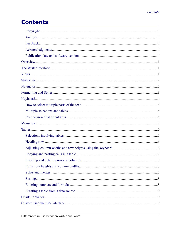# **Contents**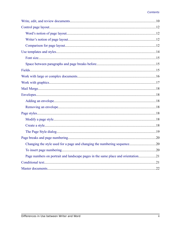| Page numbers on portrait and landscape pages in the same place and orientation21 |  |
|----------------------------------------------------------------------------------|--|
|                                                                                  |  |
|                                                                                  |  |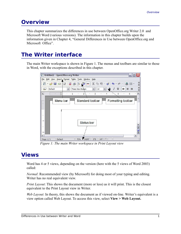### <span id="page-4-2"></span>**Overview**

This chapter summarizes the differences in use between OpenOffice.org Writer 2.0 and Microsoft Word (various versions). The information in this chapter builds upon the information given in Chapter 4, "General Differences in Use between OpenOffice.org and Microsoft Office".

### <span id="page-4-1"></span>**The Writer interface**

The main Writer workspace is shown in [Figure 1](#page-4-3). The menus and toolbars are similar to those in Word, with the exceptions described in this chapter.

| Untitled2 - OpenOffice.org Writer<br>$\blacksquare$                                                                                                          |
|--------------------------------------------------------------------------------------------------------------------------------------------------------------|
| File Edit View Insert Format Table Tools Window<br>Help                                                                                                      |
| »<br>RBC<br>x<br>$E \cdot B = 1$<br>B &<br>$\mathbb{B}$<br>$rac{ABC}{2}$<br>昀<br>$\delta$ $\delta$ $\sigma$ $\sim$<br>ৣ<br>$\vdots$<br>$\blacksquare$ .<br>R |
| $\rightarrow$<br>브<br>医目<br>Default<br>트<br>$d_{\rm{bb}}$<br><b>Times New Roman</b><br>$\checkmark$<br>12<br>$\checkmark$<br>$\mathbf{B}$<br>$\checkmark$    |
| ۸<br>L<br>. 6<br>.<br>.5.                                                                                                                                    |
| ≣<br>Menu bar<br>Standard toolbar<br>Formatting toolbar<br>$\overline{\phantom{a}}$<br>l,<br>$\overline{a}$                                                  |
| Status bar<br>800<br>$\sim$                                                                                                                                  |
| ∢<br>$\rightarrow$<br><b>INSRT</b><br>Default<br>72%<br>Page $1/1$<br>×<br><b>HYP</b><br><b>STD</b>                                                          |

<span id="page-4-3"></span>*Figure 1: The main Writer workspace in Print Layout view*

### <span id="page-4-0"></span>**Views**

Word has 4 or 5 views, depending on the version (here with the 5 views of Word 2003) called:

*Normal*: Recommended view (by Microsoft) for doing most of your typing and editing. Writer has no real equivalent view.

*Print Layout*: This shows the document (more or less) as it will print. This is the closest equivalent to the Print Layout view in Writer.

*Web Layout*: In theory, this shows the document as if viewed on-line. Writer's equivalent is a view option called Web Layout. To access this view, select **View > Web Layout.**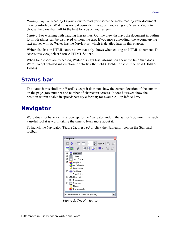*Reading Layout***:** Reading Layout view formats your screen to make reading your document more comfortable. Writer has no real equivalent view, but you can go to **View > Zoom** to choose the view that will fit the best for you on your screen.

*Outline*: For working with heading hierarchies. Outline view displays the document in outline form. Headings can be displayed without the text. If you move a heading, the accompanying text moves with it. Writer has the **Navigator,** which is detailed later in this chapter.

Writer also has an HTML source view that only shows when editing an HTML document. To access this view, select **View > HTML Source**.

When field codes are turned on, Writer displays less information about the field than does Word. To get detailed information, right-click the field > **Fields** (or select the field **> Edit > Fields**).

### <span id="page-5-1"></span>**Status bar**

The status bar is similar to Word's except it does not show the current location of the cursor on the page (row number and number of characters across). It does however show the position within a table in spreadsheet style format; for example, Top left cell =A1.

### <span id="page-5-0"></span>**Navigator**

Word does not have a similar concept to the Navigator and, in the author's opinion, it is such a useful tool it is worth taking the time to learn more about it.

To launch the Navigator ([Figure 2](#page-5-2)), press *F5* or click the Navigator icon on the Standard toolbar*.*

<span id="page-5-2"></span>

*Figure 2: The Navigator*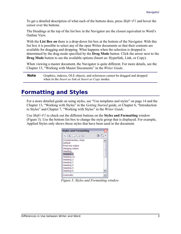To get a detailed description of what each of the buttons does, press *Shift+F1* and hover the cursor over the buttons.

The Headings at the top of the list box in the Navigator are the closest equivalent to Word's Outline View.

With the **List Box on** there is a drop-down list box at the bottom of the Navigator. With this list box it is possible to select any of the open Writer documents so that their contents are available for dragging and dropping. What happens when the selection is dropped is determined by the drag mode specified by the **Drag Mode** button. Click the arrow next to the **Drag Mode** button to see the available options (Insert as: Hyperlink, Link, or Copy).

When viewing a master document, the Navigator is quite different. For more details, see the Chapter 13, "Working with Master Documents" in the *Writer Guide*.

**Note** Graphics, indexes, OLE objects, and references cannot be dragged and dropped when in the *Insert as link* or *Insert as Copy* modes.

### <span id="page-6-0"></span>**Formatting and Styles**

For a more detailed guide on using styles, see ["Use templates and styles](#page-17-0)" on page [14](#page-17-0) and the Chapter 13, "Working with Styles" in the *Getting Started* guide, or Chapter 6, "Introduction to Styles" and Chapter 7, "Working with Styles" in the *Writer Guide*.

Use *Shift+F1* to check out the different buttons on the **Styles and Formatting** window [\(Figure 3](#page-6-1)). Use the bottom list box to change the style group that is displayed. For example, Applied Styles only shows those styles that have been used in the document.

| <b>Styles and Formatting</b>                                   |  |
|----------------------------------------------------------------|--|
| $\Pi$ $\blacksquare$ $\Pi$ $\blacksquare$ $\Pi$ $\blacksquare$ |  |
| Complimentary close                                            |  |
| Default                                                        |  |
| First line indent                                              |  |
| Hanging indent                                                 |  |
| Heading                                                        |  |
| Heading 1                                                      |  |
| Heading 10                                                     |  |
| Heading 2                                                      |  |
| Heading 3                                                      |  |
| Heading 4                                                      |  |
| Heading 5                                                      |  |
| Heading 6                                                      |  |
| Automatic                                                      |  |

<span id="page-6-1"></span>*Figure 3: Styles and Formatting window*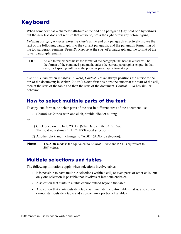### <span id="page-7-2"></span>**Keyboard**

When some text has a character attribute at the end of a paragraph (say bold or a hyperlink) but the new text does not require that attribute, press the right arrow key before typing.

*Deleting paragraph marks*: pressing *Delete* at the end of a paragraph effectively moves the text of the following paragraph into the current paragraph, and the paragraph formatting of the top paragraph remains. Press *Backspace* at the start of a paragraph and the format of the lower paragraph remains.

**TIP** An aid to remember this is: the format of the paragraph that has the cursor will be the format of the combined paragraph, unless the current paragraph is empty; in that case, backspacing will leave the previous paragraph's formatting.

*Control+Home* when in tables: In Word, *Control+Home* always positions the cursor to the top of the document; in Writer *Control+Home* first positions the cursor at the start of the cell, then at the start of the table and then the start of the document. *Control+End* has similar behavior.

#### <span id="page-7-1"></span>**How to select multiple parts of the text**

To copy, cut, format, or delete parts of the text in different areas of the document, use:

• *Control+selection* with one click, double-click or sliding.

or

- 1) Click once on the field "STD" (STanDard) in the *status bar*. The field now shows "EXT" (EXTended selection).
- 2) Another click and it changes to "ADD" (ADD to selection).

**Note** The **ADD** mode is the equivalent to *Control + click* and **EXT** is equivalent to *Shift+click*.

### <span id="page-7-0"></span>**Multiple selections and tables**

The following limitations apply when selections involve tables:

- It is possible to have multiple selections within a cell, or even parts of other cells, but only one selection is possible that involves at least one entire cell.
- A selection that starts in a table cannot extend beyond the table.
- A selection that starts outside a table will include the entire table (that is, a selection cannot start outside a table and also contain a portion of a table).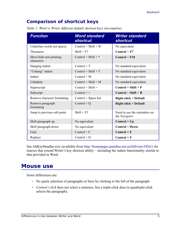### <span id="page-8-1"></span>**Comparison of shortcut keys**

*Table 1: Word vs Writer different default shortcut keys (incomplete)*

| <b>Function</b>                      | <b>Word standard</b><br><b>shortcut</b> | <b>Writer standard</b><br><b>shortcut</b>     |
|--------------------------------------|-----------------------------------------|-----------------------------------------------|
| Underline words not spaces           | $Control + Shift + W$                   | No equivalent                                 |
| Thesaurus                            | $Shift + F7$                            | $Control + F7$                                |
| Show/hide non-printing<br>characters | Control + Shift + $*$                   | $Control + F10$                               |
| Hanging indent                       | $Control + T$                           | No standard equivalent                        |
| "Unhang" indent                      | $Control + Shift + T$                   | No standard equivalent                        |
| Indent                               | $Control + M$                           | No standard equivalent                        |
| UnIndent                             | $Control + Shift + M$                   | No standard equivalent                        |
| Superscript                          | $Control + Shift =$                     | $Control + Shift + P$                         |
| Subscript                            | $Control +=$                            | $Control + Shift + B$                         |
| Remove character formatting          | Control + Space bar                     | <b>Right-click &gt; Default</b>               |
| Remove paragraph<br>formatting       | $Control + Q$                           | <b>Right-click &gt; Default</b>               |
| Jump to previous edit point          | $Shift + F5$                            | Need to use the reminders on<br>the Navigator |
| Shift paragraph up                   | No equivalent                           | $Control + Up$                                |
| Shift paragraph down                 | No equivalent                           | <b>Control + Down</b>                         |
| Find                                 | $Control + F$                           | $Control + F$                                 |
| Replace                              | $Control + H$                           | $Control + F$                                 |

See AltKeyHandler.sxw (available from [http://homepages.paradise.net.nz/hillview/OOo/\)](http://homepages.paradise.net.nz/hillview/OOo/) for macros that extend Writer's key shortcut ability – including the indent functionality similar to that provided in Word.

### <span id="page-8-0"></span>**Mouse use**

Some differences are:

- No quick selection of paragraphs or lines by clicking to the left of the paragraph.
- *Control+click* does not select a sentence, but a triple-click does (a quadruple-click selects the paragraph).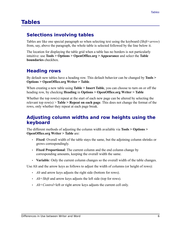### <span id="page-9-3"></span>**Tables**

#### <span id="page-9-2"></span>**Selections involving tables**

Tables are like one special paragraph so when selecting text using the keyboard (*Shift+arrow*) from, say, above the paragraph, the whole table is selected followed by the line below it.

The location for displaying the table grid when a table has no borders is not particularly intuitive: use **Tools > Options > OpenOffice.org > Appearance** and select the **Table boundaries** checkbox.

#### <span id="page-9-1"></span>**Heading rows**

By default new tables have a heading row. This default behavior can be changed by **Tools > Options > OpenOffice.org Writer > Table**.

When creating a new table using **Table > Insert Table**, you can choose to turn on or off the heading row, by checking **Heading** in **Options > OpenOffice.org Writer > Table**

Whether the top row(s) repeat at the start of each new page can be altered by selecting the relevant top row(s) > **Table > Repeat on each page**. This does not change the format of the rows, only whether they repeat at each page break.

#### <span id="page-9-0"></span>**Adjusting column widths and row heights using the keyboard**

The different methods of adjusting the column width available via **Tools > Options > OpenOffice.org Writer > Table** are:

- **Fixed**: Overall width of the table stays the same, but the adjoining column shrinks or grows correspondingly.
- **Fixed Proportional**: The current column and the end column change by corresponding amounts, keeping the overall width the same.
- **Variable**: Only the current column changes so the overall width of the table changes.

Use Alt and the arrow keys as follows to adjust the width of columns (or height of rows):

- *Alt* and arrow keys adjusts the right side (bottom for rows).
- *Alt*+*Shift* and arrow keys adjusts the left side (top for rows).
- *Alt+Control*+left or right arrow keys adjusts the current cell only.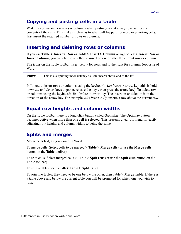#### <span id="page-10-3"></span>**Copying and pasting cells in a table**

Writer never inserts new rows or columns when pasting data, it always overwrites the contents of the cells. This makes it clear as to what will happen. To avoid overwriting cells, first insert the required number of rows or columns.

#### <span id="page-10-2"></span>**Inserting and deleting rows or columns**

If you use **Table > Insert > Row** or **Table > Insert > Column** or right-click **> Insert Row** or **Insert Column**, you can choose whether to insert before or after the current row or column.

The icons on the Table toolbar insert below for rows and to the right for columns (opposite of Word).

**Note** This is a surprising inconsistency as Calc inserts above and to the left.

In Linux, to insert rows or columns using the keyboard: *Alt+Insert >* arrow key (this is hold down *Alt* and *Insert* keys together, release the keys, then press the arrow key). To delete rows or columns using the keyboard: *Alt+Delete >* arrow key. The insertion or deletion is in the direction of the arrow key. For example, *Alt+Insert > Up* inserts a row above the current row.

#### <span id="page-10-1"></span>**Equal row heights and column widths**

On the Table toolbar there is a long click button called **Optimize.** The Optimize button becomes active when more than one cell is selected. This presents a tear-off menu for easily adjusting row heights and column widths to being the same.

#### <span id="page-10-0"></span>**Splits and merges**

Merge cells last, as you would in Word.

To merge cells: Select cells to be merged **> Table > Merge cells** (or use the **Merge cells** button on the **Table** toolbar).

To split cells: Select merged cells **> Table > Split cells** (or use the **Split cells** button on the **Table** toolbar).

To split a table (horizontally): **Table > Split Table**.

To join two tables, they need to be one below the other, then Table **> Merge Table**. If there is a table above and below the current table you will be prompted for which one you wish to join.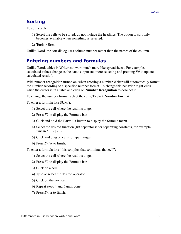### <span id="page-11-1"></span>**Sorting**

To sort a table:

- 1) Select the cells to be sorted; do not include the headings. The option to sort only becomes available when something is selected.
- 2) **Tools > Sort**.

Unlike Word, the sort dialog uses column number rather than the names of the column.

#### <span id="page-11-0"></span>**Entering numbers and formulas**

Unlike Word, tables in Writer can work much more like spreadsheets. For example, calculated values change as the data is input (no more selecting and pressing *F9* to update calculated results).

With number recognition turned on, when entering a number Writer will automatically format the number according to a specified number format. To change this behavior, right-click when the cursor is in a table and click on **Number Recognition** to deselect it.

To change the number format, select the cells, **Table > Number Format**.

To enter a formula like SUM():

- 1) Select the cell where the result is to go.
- 2) Press *F2* to display the Formula bar*.*
- 3) Click and hold the **Formula** button to display the formula menu.
- 4) Select the desired function (list separator is for separating constants, for example  $=$ mean 5 | 12 | 20).
- 5) Click and drag on cells to input ranges.
- 6) Press *Enter* to finish.

To enter a formula like "this cell plus that cell minus that cell":

- 1) Select the cell where the result is to go.
- 2) Press *F2* to display the Formula bar*.*
- 3) Click on a cell.
- 4) Type or select the desired operator.
- 5) Click on the next cell.
- 6) Repeat steps 4 and 5 until done.
- 7) Press *Ente*r to finish.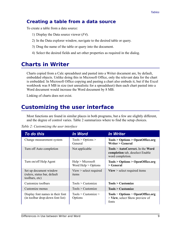#### <span id="page-12-2"></span>**Creating a table from a data source**

To create a table from a data source:

- 1) Display the Data source viewer (*F4*).
- 2) In the Data explorer window, navigate to the desired table or query.
- 3) Drag the name of the table or query into the document.
- 4) Select the desired fields and set other properties as required in the dialog.

# <span id="page-12-1"></span>**Charts in Writer**

Charts copied from a Calc spreadsheet and pasted into a Writer document are, by default, embedded objects. Unlike doing this in Microsoft Office, only the relevant data for the chart is embedded. In Microsoft Office copying and pasting a chart also embeds it, but if the Excel workbook was 8 MB in size (not unrealistic for a spreadsheet) then each chart pasted into a Word document would increase the Word document by 8 MB.

Linking of charts does not exist.

# <span id="page-12-0"></span>**Customizing the user interface**

Most functions are found in similar places in both programs, but a few are slightly different, and the degree of control varies. [Table 2](#page-12-3) summarizes where to find the setup choices.

<span id="page-12-3"></span>

|  |  | Table 2: Customizing the user interface |  |  |  |
|--|--|-----------------------------------------|--|--|--|
|--|--|-----------------------------------------|--|--|--|

| <b>To do this</b>                                                        | <b>In Word</b>                                            | <b>In Writer</b>                                                                          |
|--------------------------------------------------------------------------|-----------------------------------------------------------|-------------------------------------------------------------------------------------------|
| Change measurement system                                                | Tools > Options ><br>General                              | Tools > Options > OpenOffice.org<br>Writer > General                                      |
| Turn off Auto completion                                                 | Not applicable                                            | $Tools > AutoCorrect.$ In the Word<br>completion tab, deselect Enable<br>word completion. |
| Turn on/off Help Agent                                                   | $\text{Help} > \text{Microsoft}$<br>Word $Help > Options$ | Tools > Options > OpenOffice.org<br>$\mathbf{>}$ General                                  |
| Set up document window<br>(rulers, status bar, default<br>toolbars, etc) | $View$ > select required<br>items                         | <b>View</b> $>$ select required items                                                     |
| Customize toolbars                                                       | Tools > Customer                                          | <b>Tools &gt; Customize</b>                                                               |
| Customize menus                                                          | Tools > Customer                                          | <b>Tools &gt; Customize</b>                                                               |
| Display font names in their font<br>(in toolbar drop-down font list)     | Tools > Customer<br>Options                               | Tools > Options > OpenOffice.org<br>$>$ View, select Show preview of<br>fonts             |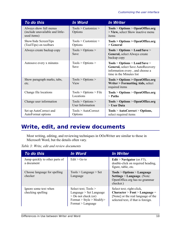| To do this                                                                | <b>In Word</b>                               | <b>In Writer</b>                                                                                                                  |
|---------------------------------------------------------------------------|----------------------------------------------|-----------------------------------------------------------------------------------------------------------------------------------|
| Always show full menus<br>(include unavailable and little-<br>used items) | $Tools > Customer \ge$<br>Options            | Tools > Options > OpenOffice.org<br>> View, select Show inactive menu<br>items                                                    |
| Show/hide ScreenTips<br>(ToolTips) on toolbars                            | $Tools > Customer \ge$<br>Options            | Tools > Options > OpenOffice.org                                                                                                  |
| Always create backup copy                                                 | Tools > Options ><br>Save                    | Tools > Options > Load/Save ><br>General, select Always create<br>backup copy                                                     |
| Autosave every x minutes                                                  | Tools > Options ><br>Save                    | Tools > Options > Load/Save ><br>General, select Save AutoRecovery<br>information every, and choose a<br>time in the Minutes list |
| Show paragraph marks, tabs,<br>etc.                                       | Tools > Options ><br>View                    | <b>Tools &gt; Options &gt; OpenOffice.org</b><br>Writer > Formatting Aids, select<br>required items                               |
| Change file locations                                                     | Tools > Options > File<br>Locations          | Tools > Options > OpenOffice.org<br>$>$ Paths                                                                                     |
| Change user information                                                   | Tools > Options ><br><b>User Information</b> | Tools > Options > OpenOffice.org<br>$>$ User Data                                                                                 |
| Set up AutoCorrect and<br>AutoFormat options                              | Tools > AutoCorrect<br>Options               | Tools > AutoCorrect > Options,<br>select required items                                                                           |

# <span id="page-13-0"></span>**Write, edit, and review documents**

Most writing, editing, and reviewing techniques in OOoWriter are similar to those in Microsoft Word, but the details often vary.

| Table 3: Write, edit and review documents |  |  |  |
|-------------------------------------------|--|--|--|
|-------------------------------------------|--|--|--|

| To do this                                   | In Word                                                                                                                     | <b>In Writer</b>                                                                                                                         |
|----------------------------------------------|-----------------------------------------------------------------------------------------------------------------------------|------------------------------------------------------------------------------------------------------------------------------------------|
| Jump quickly to other parts of<br>a document | $Fdit > G0$ to                                                                                                              | Edit > Navigator (or $F5$ ),<br>double-click on required heading,<br>figure, table, etc.                                                 |
| Choose language for spelling<br>checker      | Tools > Language > Set<br>Language                                                                                          | Tools > Options > Language<br><b>Settings &gt; Language.</b> (Note:<br>OpenOffice.org has no grammar<br>checker.)                        |
| Ignore some text when<br>checking spelling   | Select text; $Tools >$<br>Language > Set Language<br>$>$ Do not check (or)<br>Format > Style > Modify><br>Format > Language | Select text; right-click,<br>$Character > Font > Language =$<br>[None] or the real language of the<br>selected text, if that is foreign. |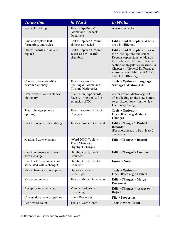| To do this                                              | <b>In Word</b>                                                             | <b>In Writer</b>                                                                                                                                                                                                                                                                   |
|---------------------------------------------------------|----------------------------------------------------------------------------|------------------------------------------------------------------------------------------------------------------------------------------------------------------------------------------------------------------------------------------------------------------------------------|
| Recheck spelling                                        | Tools > Spelling $&$<br>Grammar > Recheck<br>Document                      | Always rechecks                                                                                                                                                                                                                                                                    |
| Find and replace text,<br>formatting, and styles        | Edit > Replace > More;<br>choices as needed                                | <b>Edit</b> > Find & Replace; details<br>are a bit different                                                                                                                                                                                                                       |
| Use wildcards in find and<br>replace                    | Edit > Replace > More ><br>select Use Wildcards<br>checkbox                | <b>Edit</b> > Find $\&$ Replace, click on<br>the More Options and select<br>Regular expressions; wildcards<br>themselves are different. See the<br>section on Regular expressions in<br>Chapter 4, "General Differences<br>in use between Microsoft Office<br>and OpenOffice.org". |
| Choose, create, or edit a<br>custom dictionary          | Tools > Options ><br>Spelling & Grammar $>$<br><b>Custom Dictionaries</b>  | Tools > Options > Language<br><b>Settings &gt; Writing Aids</b>                                                                                                                                                                                                                    |
| Create exception (exclude)<br>dictionary                | File $>$ New, type words,<br>Save $As > text$ only, file<br>extension .EXC | As for custom dictionary, but<br>after clicking on the New button,<br>select Exception (-) in the New<br>Dictionary dialog                                                                                                                                                         |
| Track changes (choose<br>options)                       | Tools > Options > Track<br>Changes                                         | Tools > Options ><br><b>OpenOffice.org Writer &gt;</b><br><b>Changes</b>                                                                                                                                                                                                           |
| Protect document for editing                            | Tools > Protect Document                                                   | <b>Edit &gt; Changes &gt; Protect</b><br><b>Records</b><br>(Password needs to be at least 5)<br>characters)                                                                                                                                                                        |
| Mark and track changes                                  | (Word 2000) Tools $>$<br>Track Changes ><br><b>Highlight Changes</b>       | <b>Edit &gt; Changes &gt; Record</b>                                                                                                                                                                                                                                               |
| Insert comments associated<br>with a change             | Highlight text; Insert ><br>Comment                                        | Edit > Changes > Comment                                                                                                                                                                                                                                                           |
| Insert notes (comments not<br>associated with a change) | Highlight text; Insert ><br>Comment                                        | <b>Insert &gt; Note</b>                                                                                                                                                                                                                                                            |
| Show changes as pop-up text                             | Options > View ><br>Screentips                                             | Tools > Options ><br><b>OpenOffice.org &gt; General</b>                                                                                                                                                                                                                            |
| Merge documents                                         | Tools > Merge Documents                                                    | Edit > Changes > Merge<br><b>Document</b>                                                                                                                                                                                                                                          |
| Accept or reject changes                                | View > Toolbox ><br>Reviewing                                              | Edit > Changes > Accept or<br>Reject                                                                                                                                                                                                                                               |
| Change document properties                              | File > Properties                                                          | <b>File &gt; Properties</b>                                                                                                                                                                                                                                                        |
| Get a word count                                        | Tools > Word Count                                                         | <b>Tools &gt; Word Count</b>                                                                                                                                                                                                                                                       |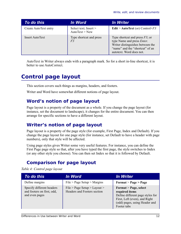| To do this             | <i>In Word</i>                            | <i>In Writer</i>                                                                                                                                                           |
|------------------------|-------------------------------------------|----------------------------------------------------------------------------------------------------------------------------------------------------------------------------|
| Create AutoText entry  | Select text; Insert $>$<br>AutoText > New | <b>Edit</b> > AutoText (or) Control+ $F3$                                                                                                                                  |
| <b>Insert AutoText</b> | Type shortcut and press<br>F <sub>3</sub> | Type shortcut and press $F3$ ; or<br>type Name and press <i>Enter</i> .<br>Writer distinguishes between the<br>"name" and the "shortcut" of an<br>autotext. Word does not. |

AutoText in Writer always ends with a paragraph mark. So for a short in-line shortcut, it is better to use AutoCorrect.

# <span id="page-15-3"></span>**Control page layout**

This section covers such things as margins, headers, and footers.

Writer and Word have somewhat different notions of page layout.

#### <span id="page-15-2"></span>**Word's notion of page layout**

Page layout is a property of the document as a whole. If you change the page layout (for instance, set the document to landscape), it changes for the entire document. You can then arrange for specific sections to have a different layout.

#### <span id="page-15-1"></span>**Writer's notion of page layout**

Page layout is a property of the page style (for example, First Page, Index and Default). If you change the page layout for one page style (for instance, set Default to have a header with page numbers), only that style will be affected.

Using page styles gives Writer some very useful features. For instance, you can define the First Page page style so that, after you have typed the first page, the style switches to Index (or any other style you choose). You can then set Index so that it is followed by Default.

#### <span id="page-15-0"></span>**Comparison for page layout**

*Table 4: Control page layout*

| To do this                                                                | <i>In Word</i>                                              | <i>In Writer</i>                                                                                                                                             |
|---------------------------------------------------------------------------|-------------------------------------------------------------|--------------------------------------------------------------------------------------------------------------------------------------------------------------|
| Define margins                                                            | File > Page Setup > Margins                                 | Format > Page > Page                                                                                                                                         |
| Specify different headers<br>and footers on first, odd,<br>and even pages | File > Page Setup > Layout ><br>Headers and Footers section | Format > Page, select<br>required items<br>Define different page styles for<br>First, Left (even), and Right<br>(odd) pages, using Header and<br>Footer tabs |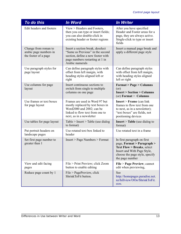| To do this                                                             | <b>In Word</b>                                                                                                                                                  | <b>In Writer</b>                                                                                                                                                                      |
|------------------------------------------------------------------------|-----------------------------------------------------------------------------------------------------------------------------------------------------------------|---------------------------------------------------------------------------------------------------------------------------------------------------------------------------------------|
| Edit headers and footers                                               | View > Headers and Footers,<br>then you can type or insert fields;<br>you can also double-click in<br>existing header or footer regions                         | After you have specified<br>Header and Footer areas for a<br>page, they are always active.<br>Single-click to type or insert<br>fields                                                |
| Change from roman to<br>arabic page numbers in<br>the footer of a page | Insert a section break, deselect<br>"Same as Previous" in the second<br>section, define a new footer with<br>page numbers restarting at 1 in<br>Arabic numerals | Insert a manual page break and<br>apply a different page style                                                                                                                        |
| Use paragraph styles for<br>page layout                                | Can define paragraph styles with<br>offset from left margin, with<br>heading styles aligned left or<br>right                                                    | Can define paragraph styles<br>with offset from left margin,<br>with heading styles aligned<br>left or right                                                                          |
| Use columns for page<br>layout                                         | Insert continuous sections to<br>switch from single to multiple<br>columns on one page                                                                          | <b>Format &gt; Page &gt; Columns</b><br>(or)<br><b>Insert &gt; Section &gt; Columns</b><br>(or) Format $>$ Columns                                                                    |
| Use frames or text boxes<br>for page layout                            | Frames are used in Word 97 but<br>mostly replaced by text boxes in<br>Word2000 and 2002; can be<br>linked to flow text from one to<br>next, as in a newsletter  | <b>Insert</b> > Frame (can link)<br>frames to flow text from one<br>to next, as in a newsletter);<br>"text boxes" are fields, not<br>positioning devices                              |
| Use tables for page layout                                             | Table > Insert > Table (use dialog)<br>to format)                                                                                                               | <b>Insert</b> > Table (use dialog to<br>format)                                                                                                                                       |
| Put portrait headers on<br>landscape pages                             | Use rotated text box linked to<br>header                                                                                                                        | Use rotated text in a frame                                                                                                                                                           |
| Set first page number to<br>greater than 1                             | Insert > Page Numbers > Format                                                                                                                                  | In first paragraph on first<br>page, Format > Paragraph ><br><b>Text Flow &gt; Breaks, select</b><br>Insert and With Page Style,<br>choose the page style, specify<br>the page number |
| View and edit facing<br>pages                                          | File > Print Preview; click Zoom<br>button to enable editing                                                                                                    | File > Page Preview; cannot<br>edit when previewing,                                                                                                                                  |
| Reduce page count by 1                                                 | File > PagePreview, click<br>ShrinkToFit button.                                                                                                                | See<br>http://homepages.paradise.net.<br>nz/hillview/OOo/ShrinkToFit.<br>SXW.                                                                                                         |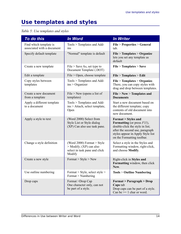# <span id="page-17-0"></span>**Use templates and styles**

#### *Table 5: Use templates and styles*

| To do this                                           | <b>In Word</b>                                                                                       | <b>In Writer</b>                                                                                                                                                                                                    |
|------------------------------------------------------|------------------------------------------------------------------------------------------------------|---------------------------------------------------------------------------------------------------------------------------------------------------------------------------------------------------------------------|
| Find which template is<br>associated with a document | Tools > Templates and Add-<br>1ns                                                                    | File > Properties > General<br>tab.                                                                                                                                                                                 |
| Specify default template                             | "Normal" template is default                                                                         | File > Templates > Organize<br>lets you set any template as<br>default                                                                                                                                              |
| Create a new template                                | File $>$ Save As, set type to<br>Document Template (.DOT)                                            | File > Templates > Save                                                                                                                                                                                             |
| Edit a template                                      | $File > Open$ , choose template                                                                      | File > Templates > Edit                                                                                                                                                                                             |
| Copy styles between<br>templates                     | Tools > Templates and Add-<br>$ins >$ Organizer                                                      | File > Templates > Organize.<br>There, you can copy styles with<br>drag and drop between templates.                                                                                                                 |
| Create a new document<br>from a template             | File $>$ New (opens a list of<br>templates)                                                          | File > New > Templates and<br><b>Documents</b>                                                                                                                                                                      |
| Apply a different template<br>to a document          | Tools > Templates and Add-<br>ins > Attach, select template,<br>Open                                 | Start a new document based on<br>the different template; copy<br>contents of old document into<br>new document.                                                                                                     |
| Apply a style to text                                | (Word 2000) Select from<br>Style List or Style dialog<br>(XP) Can also use task pane.                | <b>Format &gt; Styles and</b><br><b>Formatting</b> (or press <i>F11</i> ),<br>double-click the style in list;<br>after the second use, paragraph<br>styles appear in Apply Style list<br>on the Formatting toolbar. |
| Change a style definition                            | (Word 2000) Format $>$ Style<br>$>$ Modify; (XP) can also<br>select in task pane and click<br>Modify | Select a style in the Styles and<br>Formatting window, right-click,<br>and choose Modify.                                                                                                                           |
| Create a new style                                   | Format $>$ Style $>$ New                                                                             | Right-click in Styles and<br>Formatting window, then click<br>New.                                                                                                                                                  |
| Use outline numbering                                | Format $>$ Style, select style $>$<br>Format > Numbering                                             | <b>Tools &gt; Outline Numbering</b>                                                                                                                                                                                 |
| Drop caps                                            | Format >Drop Cap<br>One character only, can not<br>be part of a style.                               | <b>Format &gt; Paragraph &gt; Drop</b><br>Caps tab<br>Drop caps can be part of a style.<br>Can be $\geq 1$ char or word.                                                                                            |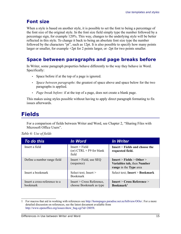### <span id="page-18-2"></span>**Font size**

When a style is based on another style, it is possible to set the font to being a percentage of the font size of the original style. In the font size field simply type the number followed by a percentage sign, for example 120%. This way, changes to the underlying style will be better reflected in this style. To change it back to being an absolute font size type the number followed by the characters "pt", such as 12pt. It is also possible to specify how many points larger or smaller, for example +2pt for 2 points larger, or -2pt for two points smaller.

#### <span id="page-18-1"></span>**Space between paragraphs and page breaks before**

In Writer, some paragraph properties behave differently to the way they behave in Word. Specifically:

- Space before if at the top of a page is ignored.
- *Space between paragraphs*: the greatest of space above and space below for the two paragraphs is applied.
- *Page break before*: if at the top of a page, does not create a blank page.

This makes using styles possible without having to apply direct paragraph formating to fix issues afterwards.

# <span id="page-18-0"></span>**Fields**

For a comparison of fields between Writer and Word, see Chapter 2, "Sharing Files with Microsoft Office Users".

*Table 6: Use of fields*

| To do this                                       | In Word                                                 | <i>In Writer</i>                                                                  |
|--------------------------------------------------|---------------------------------------------------------|-----------------------------------------------------------------------------------|
| Insert a field                                   | Insert > Field<br>(or) $CTRL + F9$ for blank<br>field   | $Insert > Fields$ and choose the<br>requested field.                              |
| Define a number range field                      | $Insert$ > Field, use SEQ<br>(sequence)                 | Insert > Fields > Other ><br>Variables tab, then Number<br>range in the Type area |
| Insert a bookmark                                | Select text; Insert $>$<br><b>Bookmark</b>              | Select text; Insert > Bookmark                                                    |
| Insert a cross-reference to a<br><b>bookmark</b> | $Insert > Cross Reference$ ,<br>choose Bookmark as type | <b>Insert &gt; Cross Reference &gt;</b><br>Bookmark <sup>1</sup>                  |

<span id="page-18-3"></span><sup>1</sup> For macros that aid in working with references see <http://homepages.paradise.net.nz/hillview/OOo/>. For a more detailed discussion on references, see the latest document available from [http://www.openoffice.org/issues/show\\_bug.cgi?id=28058.](http://www.openoffice.org/issues/show_bug.cgi?id=28058)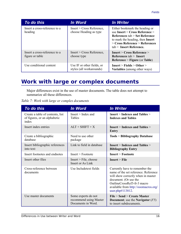| To do this                                       | In Word                                                | <b>In Writer</b>                                                                                                                                                                                        |
|--------------------------------------------------|--------------------------------------------------------|---------------------------------------------------------------------------------------------------------------------------------------------------------------------------------------------------------|
| Insert a cross-reference to a<br>heading         | $Insert > Cross Reference$ ,<br>choose Heading as type | Either bookmark the heading or<br>use Insert > Cross Reference ><br>References $tab > Set$ Reference<br>to mark the heading, then Insert<br>> Cross Reference > References<br>$tab$ > Insert Reference. |
| Insert a cross-reference to a<br>figure or table | Insert > Cross Reference<br>choose type                | <b>Insert &gt; Cross Reference &gt;</b><br>References $tab$ > Insert<br>Reference > Figure (or Table)                                                                                                   |
| Use conditional content                          | Use IF or other fields, or<br>styles (all workarounds) | Insert > Fields > Other ><br><b>Variables</b> (among other ways)                                                                                                                                        |

### <span id="page-19-0"></span>**Work with large or complex documents**

Major differences exist in the use of master documents. The table does not attempt to summarize all these differences.

*Table 7: Work with large or complex documents*

| To do this                                                                | <b>In Word</b>                                                      | <b>In Writer</b>                                                                                                                                                                                                                 |
|---------------------------------------------------------------------------|---------------------------------------------------------------------|----------------------------------------------------------------------------------------------------------------------------------------------------------------------------------------------------------------------------------|
| Create a table of contents, list<br>of figures, or an alphabetic<br>index | $Insert > Index$ and<br>Tables                                      | <b>Insert &gt; Indexes and Tables &gt;</b><br><b>Indexes and Tables</b>                                                                                                                                                          |
| Insert index entries                                                      | $ALT + SHIFT + X$                                                   | <b>Insert &gt; Indexes and Tables &gt;</b><br><b>Entry</b>                                                                                                                                                                       |
| Create a bibliographic<br>database                                        | Need to use other<br>package                                        | <b>Tools &gt; Bibliography Database</b>                                                                                                                                                                                          |
| Insert bibliographic references<br>into text                              | Link to field in database                                           | <b>Insert &gt; Indexes and Tables &gt;</b><br><b>Bibliography Entry</b>                                                                                                                                                          |
| Insert footnotes and endnotes                                             | Insert > Footnote                                                   | Insert > Footnote                                                                                                                                                                                                                |
| Insert other files                                                        | Insert > File, choose<br>Insert or As Link                          | Insert > File                                                                                                                                                                                                                    |
| Cross-reference between<br>documents                                      | Use Includetext fields                                              | Currently have to remember the<br>name of the set reference. Reference<br>will show correctly when in master<br>document. (Or use the<br>OutlineCrossRef3-fr-3 macro<br>available from http://ooomacros.org/<br>user.php#113812. |
| Use master documents                                                      | Some experts do not<br>recommend using Master<br>Documents in Word. | File > Send > Create Master<br><b>Document</b> ; use the <b>Navigator</b> $(F5)$<br>to insert subdocuments.                                                                                                                      |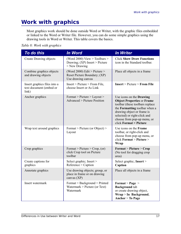# <span id="page-20-0"></span>**Work with graphics**

Most graphics work should be done outside Word or Writer, with the graphic files embedded or linked to the Word or Writer file. However, you can do some simple graphics using the drawing tools in Word or Writer. This table covers the basics.

*Table 8: Work with graphics*

| To do this                                                       | <b>In Word</b>                                                                           | <b>In Writer</b>                                                                                                                                                                                                                                                |
|------------------------------------------------------------------|------------------------------------------------------------------------------------------|-----------------------------------------------------------------------------------------------------------------------------------------------------------------------------------------------------------------------------------------------------------------|
| <b>Create Drawing objects</b>                                    | (Word 2000) View $>$ Toolbars $>$<br>Drawing; $(XP)$ Insert > Picture<br>$>$ New Drawing | <b>Click Show Draw Functions</b><br>icon in the Standard toolbar.                                                                                                                                                                                               |
| Combine graphics objects<br>and drawing objects                  | (Word 2000) Edit > Picture ><br>Reset Picture Boundary; (XP)<br>Use drawing canvas       | Place all objects in a frame                                                                                                                                                                                                                                    |
| Insert graphics files into a<br>text document (embed or<br>link) | $Insert > Picture > From File$ ,<br>choose Insert or As Link                             | Insert > Picture > From File                                                                                                                                                                                                                                    |
| Anchor graphics                                                  | Format > Picture > Layout ><br>Advanced > Picture Position                               | Use icons on the <b>Drawing</b><br><b>Object Properties or Frame</b><br>toolbar (these toolbars replace<br>the Formatting toolbar when a<br>drawing object or frame is<br>selected) or right-click and<br>choose from pop-up menu, or<br>click Format > Picture |
| Wrap text around graphics                                        | Format > Picture (or Object) ><br>Layout                                                 | Use icons on the Frame<br>toolbar, or right-click and<br>choose from pop-up menu, or<br>click Format > Picture ><br>Wrap                                                                                                                                        |
| Crop graphics                                                    | Format > Picture > Crop, (or)<br>click Crop tool on Picture<br>toolbar                   | <b>Format &gt; Picture &gt; Crop</b><br>(No tool for dragging crop<br>area)                                                                                                                                                                                     |
| Create captions for<br>graphics                                  | Select graphic; Insert ><br>Reference > Caption                                          | Select graphic; Insert ><br>Caption                                                                                                                                                                                                                             |
| Annotate graphics                                                | Use drawing objects; group, or<br>place in frame or on drawing<br>canvas (XP)            | Place all objects in a frame                                                                                                                                                                                                                                    |
| Insert watermark                                                 | Format > Background > Printed<br>Watermark $>$ Picture (or Text)<br>Watermark            | $\text{Format} > \text{Page} >$<br><b>Background</b> tab<br>or create drawing object,<br>$Wrap > In$ Background,<br>Anchor $>$ To Page                                                                                                                          |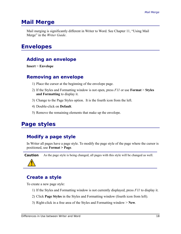### <span id="page-21-6"></span>**Mail Merge**

Mail merging is significantly different in Writer to Word. See Chapter 11, "Using Mail Merge" in the *Writer Guide*.

### <span id="page-21-5"></span>**Envelopes**

#### <span id="page-21-4"></span>**Adding an envelope**

**Insert** > **Envelope**

#### <span id="page-21-3"></span>**Removing an envelope**

- 1) Place the cursor at the beginning of the envelope page.
- 2) If the Styles and Formatting window is not open, press *F11* or use **Format** > **Styles and Formatting** to display it.
- 3) Change to the Page Styles option. It is the fourth icon from the left.
- 4) Double-click on **Default**.
- 5) Remove the remaining elements that make up the envelope.

### <span id="page-21-2"></span>**Page styles**

#### <span id="page-21-1"></span>**Modify a page style**

In Writer all pages have a page style. To modify the page style of the page where the cursor is positioned, use **Format > Page**.

**Caution** As the page style is being changed, all pages with this style will be changed as well.

#### <span id="page-21-0"></span>**Create a style**

To create a new page style:

- 1) If the Styles and Formatting window is not currently displayed, press *F11* to display it.
- 2) Click **Page Styles** in the Styles and Formatting window (fourth icon from left)*.*
- 3) Right-click in a free area of the Styles and Formatting window > **New**.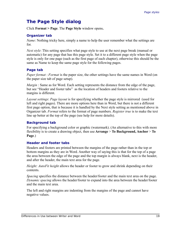### <span id="page-22-0"></span>**The Page Style dialog**

Click **Format > Page**. The **Page Style** window opens**.**

#### **Organizer tab**

*Name*: Nothing tricky here, simply a name to help the user remember what the settings are for.

*Next style*: This setting specifies what page style to use at the next page break (manual or automatic) for any page that has this page style. Set it to a different page style when the page style is only for one page (such as the first page of each chapter), otherwise this should be the same as Name to keep the same page style for the following pages.

#### **Page tab**

*Paper format* : *Format* is the paper size, the other settings have the same names in Word (on the paper size tab of page setup).

*Margin* : Same as for Word. Each setting represents the distance from the edge of the page, but see ["Header and footer tabs"](#page-22-1) as the location of headers and footers relative to the margins is different.

*Layout settings*: *Page layout* is for specifying whether the page style is mirrored (used for left and right pages). There are more options here than in Word, but there is not a different first page option, that is because it is handled by the Next style setting as mentioned above in Organizer tab. *Format* refers to the format of page numbers. *Register true* is to make the text line up better at the top of the page (see help for more details).

#### **Background tab**

For specifying a background color or graphic (watermark). (An alternative to this with more flexibility is to create a drawing object, then use **Arrange** > **To Background, Anchor** > **To Page**.)

#### <span id="page-22-1"></span>**Header and footer tabs**

Headers and footers are printed between the margins of the page rather than in the top or bottom margins as they are in Word. Another way of saying this is that for the top of a page the area between the edge of the page and the top margin is always blank, next is the header, and after the header, the main text area for the page.

*Height: AutoFit height* allows the header or footer to grow and shrink depending on their contents.

*Spacing* specifies the distance between the header/footer and the main text area on the page. *Dynamic spacing* allows the header/footer to expand into the area between the header/footer and the main text area.

The left and right margins are indenting from the margins of the page and cannot have negative values.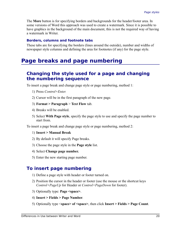The **More** button is for specifying borders and backgrounds for the header/footer area. In some versions of Word this approach was used to create a watermark. Since it is possible to have graphics in the background of the main document, this is not the required way of having a watermark in Writer.

#### **Borders, columns and footnote tabs**

These tabs are for specifying the borders (lines around the outside), number and widths of newspaper style columns and defining the area for footnotes (if any) for the page style.

### <span id="page-23-2"></span>**Page breaks and page numbering**

#### <span id="page-23-1"></span>**Changing the style used for a page and changing the numbering sequence**

To insert a page break and change page style or page numbering, method 1:

- 1) Press *Control+Enter.*
- 2) Cursor will be in the first paragraph of the new page.
- 3) **Format > Paragraph** > **Text Flow** tab.
- 4) Breaks will be enabled.
- 5) Select **With Page style**, specify the page style to use and specify the page number to start from.

To insert a page break and change page style or page numbering, method 2:

- 1) **Insert > Manual Break**
- 2) By default it will specify Page breaks.
- 3) Choose the page style in the **Page style** list.
- 4) Select **Change page number.**
- 5) Enter the new starting page number.

#### <span id="page-23-0"></span>**To insert page numbering**

- 1) Define a page style with header or footer turned on.
- 2) Position the cursor in the header or footer (use the mouse or the shortcut keys *Control+PageUp* for Header or *Control+PageDown* for footer).
- 3) Optionally type: **Page <space>**.
- 4) **Insert > Fields > Page Number**.
- 5) Optionally type <**space> of <space>**, then click **Insert > Fields > Page Count**.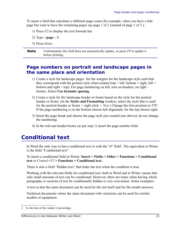To insert a field that calculates a different page count (for example, when you have a title page but want to have the remaining pages say page 1 of 2 (instead of page 1 of 3 ):

- 1) Press *F2* to display the text formula bar*.*
- 2) Type  $=$ **page**  $-1$ *.*
- 3) Press *Enter*.

**Note** Unfortunately this field does not automatically update, so press *F9* to update it before printing.

#### <span id="page-24-1"></span>**Page numbers on portrait and landscape pages in the same place and orientation**

- 1) Create a style for landscape pages. Set the margins for the landscape style such that they correspond with the portrait style when rotated (top = left, bottom = right, left = bottom and right = top). For page numbering on left, turn on headers; on right  $$ footers. Select **Use dynamic spacing**.
- 2) Create a style for the landscape header or footer based on the style for the portrait header or footer. (In the **Styles and Formatting** window, select the style that is used for the portrait header or footer > right-click *> New.*) Change the font position to 270° . If the page numbering is on the bottom choose left alignment, for the top choose right.
- 3) Insert the page break and choose the page style just created (see above); do not change the numbering.
- 4) In the relevant header/footer (as per step 1) insert the page number field.

### <span id="page-24-0"></span>**Conditional text**

In Word the only way to have conditional text is with the "if" field<sup>[2](#page-24-2)</sup>. The equivalent in Writer is the field "Conditional text".

To insert a conditional field in Writer: **Insert > Fields > Other > Functions > Conditional text** or *Control+F2* **> Functions > Conditional text.**

There is also a field "Hidden text" that hides the text when the condition is true.

Working with the relevant fields for conditional text, both in Word and in Writer, means that only small amounts of text can be conditional. However, there are times when having whole paragraphs or sections of text be conditionally hidden is very convenient. Some examples:

A test so that the same document can be used for the test itself and for the model answers.

Technical documents where the same document with variations can be used for similar models of equipment.

<span id="page-24-2"></span><sup>2</sup> To the best of the Author's knowledge.